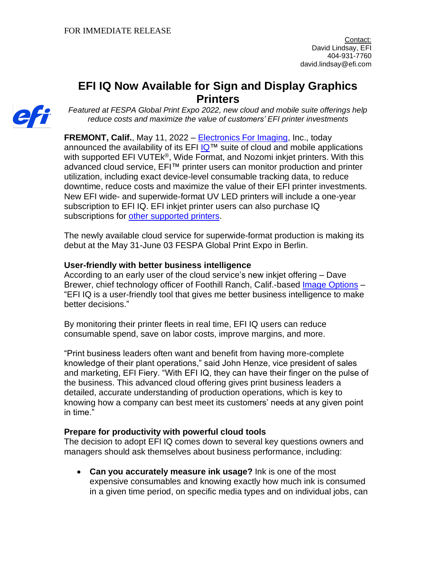# **EFI IQ Now Available for Sign and Display Graphics Printers**



*Featured at FESPA Global Print Expo 2022, new cloud and mobile suite offerings help reduce costs and maximize the value of customers' EFI printer investments*

**FREMONT, Calif.**, May 11, 2022 – [Electronics For Imaging,](http://www.efi.com/) Inc., today announced the availability of its EFI  $IQ^m$  suite of cloud and mobile applications with supported EFI VUTEk<sup>®</sup>, Wide Format, and Nozomi inkjet printers. With this advanced cloud service, EFI™ printer users can monitor production and printer utilization, including exact device-level consumable tracking data, to reduce downtime, reduce costs and maximize the value of their EFI printer investments. New EFI wide- and superwide-format UV LED printers will include a one-year subscription to EFI IQ. EFI inkjet printer users can also purchase IQ subscriptions for [other supported printers.](https://www.efi.com/en-gb/products/efi-iq/iq-for-display-graphics-users/supported-printers/?utm_source=press_release&utm_medium=email&utm_campaign=iq_display_graphics)

The newly available cloud service for superwide-format production is making its debut at the May 31-June 03 FESPA Global Print Expo in Berlin.

# **User-friendly with better business intelligence**

According to an early user of the cloud service's new inkjet offering – Dave Brewer, chief technology officer of Foothill Ranch, Calif.-based [Image Options](http://www.imageoptions.net/) – "EFI IQ is a user-friendly tool that gives me better business intelligence to make better decisions."

By monitoring their printer fleets in real time, EFI IQ users can reduce consumable spend, save on labor costs, improve margins, and more.

"Print business leaders often want and benefit from having more-complete knowledge of their plant operations," said John Henze, vice president of sales and marketing, EFI Fiery. "With EFI IQ, they can have their finger on the pulse of the business. This advanced cloud offering gives print business leaders a detailed, accurate understanding of production operations, which is key to knowing how a company can best meet its customers' needs at any given point in time."

## **Prepare for productivity with powerful cloud tools**

The decision to adopt EFI IQ comes down to several key questions owners and managers should ask themselves about business performance, including:

• **Can you accurately measure ink usage?** Ink is one of the most expensive consumables and knowing exactly how much ink is consumed in a given time period, on specific media types and on individual jobs, can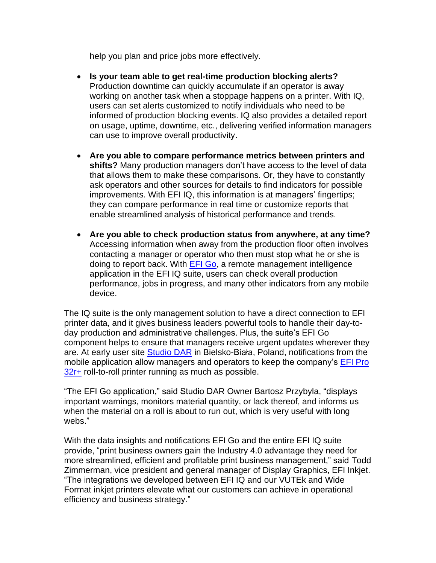help you plan and price jobs more effectively.

- **Is your team able to get real-time production blocking alerts?**  Production downtime can quickly accumulate if an operator is away working on another task when a stoppage happens on a printer. With IQ, users can set alerts customized to notify individuals who need to be informed of production blocking events. IQ also provides a detailed report on usage, uptime, downtime, etc., delivering verified information managers can use to improve overall productivity.
- **Are you able to compare performance metrics between printers and shifts?** Many production managers don't have access to the level of data that allows them to make these comparisons. Or, they have to constantly ask operators and other sources for details to find indicators for possible improvements. With EFI IQ, this information is at managers' fingertips; they can compare performance in real time or customize reports that enable streamlined analysis of historical performance and trends.
- **Are you able to check production status from anywhere, at any time?** Accessing information when away from the production floor often involves contacting a manager or operator who then must stop what he or she is doing to report back. With [EFI Go,](https://www.efi.com/en-gb/products/efi-iq/efi-go-dg/overview/?utm_source=press_release&utm_medium=email&utm_campaign=iq_display_graphics) a remote management intelligence application in the EFI IQ suite, users can check overall production performance, jobs in progress, and many other indicators from any mobile device.

The IQ suite is the only management solution to have a direct connection to EFI printer data, and it gives business leaders powerful tools to handle their day-today production and administrative challenges. Plus, the suite's EFI Go component helps to ensure that managers receive urgent updates wherever they are. At early user site [Studio DAR](https://www.studiodar.pl/) in Bielsko-Biała, Poland, notifications from the mobile application allow managers and operators to keep the company's [EFI Pro](https://www.efi.com/products/inkjet-printing-and-proofing/efi-wide-format-printers/efi-pro-32r-plus/overview/?utm_source=press_release&utm_medium=email&utm_campaign=iq_display_graphics)  [32r+](https://www.efi.com/products/inkjet-printing-and-proofing/efi-wide-format-printers/efi-pro-32r-plus/overview/?utm_source=press_release&utm_medium=email&utm_campaign=iq_display_graphics) roll-to-roll printer running as much as possible.

"The EFI Go application," said Studio DAR Owner Bartosz Przybyla, "displays important warnings, monitors material quantity, or lack thereof, and informs us when the material on a roll is about to run out, which is very useful with long webs."

With the data insights and notifications EFI Go and the entire EFI IQ suite provide, "print business owners gain the Industry 4.0 advantage they need for more streamlined, efficient and profitable print business management," said Todd Zimmerman, vice president and general manager of Display Graphics, EFI Inkjet. "The integrations we developed between EFI IQ and our VUTEk and Wide Format inkjet printers elevate what our customers can achieve in operational efficiency and business strategy."